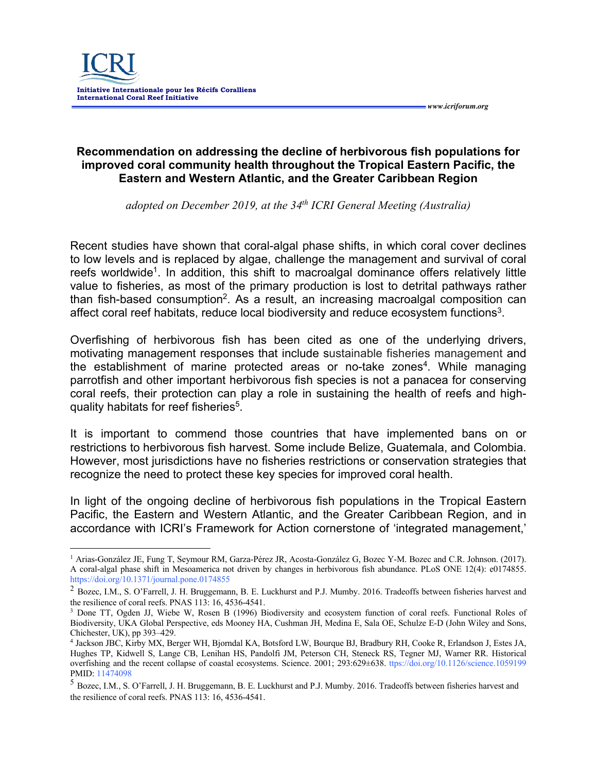

## **Recommendation on addressing the decline of herbivorous fish populations for improved coral community health throughout the Tropical Eastern Pacific, the Eastern and Western Atlantic, and the Greater Caribbean Region**

*adopted on December 2019, at the 34th ICRI General Meeting (Australia)*

Recent studies have shown that coral-algal phase shifts, in which coral cover declines to low levels and is replaced by algae, challenge the management and survival of coral reefs worldwide<sup>1</sup>. In addition, this shift to macroalgal dominance offers relatively little value to fisheries, as most of the primary production is lost to detrital pathways rather than fish-based consumption<sup>2</sup>. As a result, an increasing macroalgal composition can affect coral reef habitats, reduce local biodiversity and reduce ecosystem functions<sup>3</sup>.

Overfishing of herbivorous fish has been cited as one of the underlying drivers, motivating management responses that include sustainable fisheries management and the establishment of marine protected areas or no-take zones<sup>4</sup>. While managing parrotfish and other important herbivorous fish species is not a panacea for conserving coral reefs, their protection can play a role in sustaining the health of reefs and highquality habitats for reef fisheries<sup>5</sup>.

It is important to commend those countries that have implemented bans on or restrictions to herbivorous fish harvest. Some include Belize, Guatemala, and Colombia. However, most jurisdictions have no fisheries restrictions or conservation strategies that recognize the need to protect these key species for improved coral health.

In light of the ongoing decline of herbivorous fish populations in the Tropical Eastern Pacific, the Eastern and Western Atlantic, and the Greater Caribbean Region, and in accordance with ICRI's Framework for Action cornerstone of 'integrated management,'

<sup>1</sup> Arias-González JE, Fung T, Seymour RM, Garza-Pérez JR, Acosta-González G, Bozec Y-M. Bozec and C.R. Johnson. (2017). A coral-algal phase shift in Mesoamerica not driven by changes in herbivorous fish abundance. PLoS ONE 12(4): e0174855. https://doi.org/10.1371/journal.pone.0174855

<sup>&</sup>lt;sup>2</sup> Bozec, I.M., S. O'Farrell, J. H. Bruggemann, B. E. Luckhurst and P.J. Mumby. 2016. Tradeoffs between fisheries harvest and

the resilience of coral reefs. PNAS 113: 16, 4536-4541.<br><sup>3</sup> Done TT, Ogden JJ, Wiebe W, Rosen B (1996) Biodiversity and ecosystem function of coral reefs. Functional Roles of Biodiversity, UKA Global Perspective, eds Mooney HA, Cushman JH, Medina E, Sala OE, Schulze E-D (John Wiley and Sons, Chichester, UK), pp 393–429.

<sup>4</sup> Jackson JBC, Kirby MX, Berger WH, Bjorndal KA, Botsford LW, Bourque BJ, Bradbury RH, Cooke R, Erlandson J, Estes JA, Hughes TP, Kidwell S, Lange CB, Lenihan HS, Pandolfi JM, Peterson CH, Steneck RS, Tegner MJ, Warner RR. Historical overfishing and the recent collapse of coastal ecosystems. Science. 2001; 293:629±638. ttps://doi.org/10.1126/science.1059199 PMID: 11474098

<sup>5</sup> Bozec, I.M., S. O'Farrell, J. H. Bruggemann, B. E. Luckhurst and P.J. Mumby. 2016. Tradeoffs between fisheries harvest and the resilience of coral reefs. PNAS 113: 16, 4536-4541.